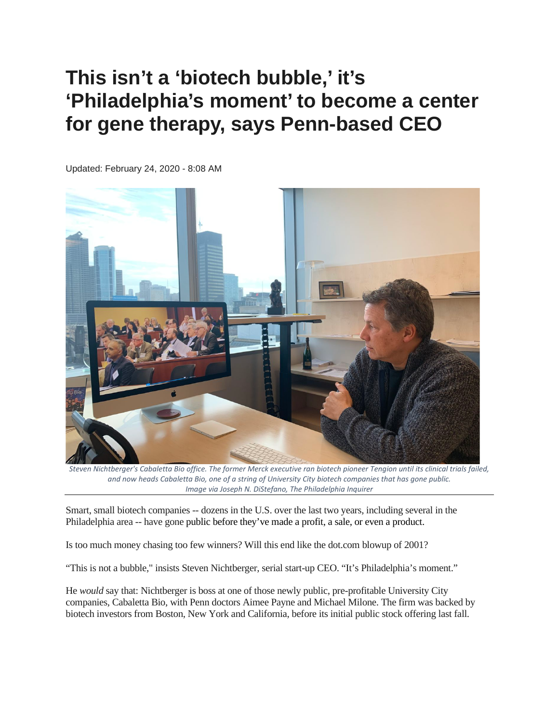## **This isn't a 'biotech bubble,' it's 'Philadelphia's moment' to become a center for gene therapy, says Penn-based CEO**

Updated: February 24, 2020 - 8:08 AM



*Steven Nichtberger's Cabaletta Bio office. The former Merck executive ran biotech pioneer Tengion until its clinical trials failed, and now heads Cabaletta Bio, one of a string of University City biotech companies that has gone public. Image via Joseph N. DiStefano, The Philadelphia Inquirer*

Smart, small biotech companies -- dozens in the U.S. over the last two years, including several in the Philadelphia area -- have gone public [before they've made a profit,](https://www.inquirer.com/business/tela-bio-ovitex-sheep-stomach-biotech-ipo-20191121.html) a sale, or [even a product.](https://www.inquirer.com/business/drugs/annovis-bio-ipo-shares-nyse-philadelphia-biotech-20200129.html)

Is too much money chasing too few winners? Will this end like the dot.com blowup of 2001?

"This is not a bubble," insists Steven Nichtberger, serial start-up CEO. "It's Philadelphia's moment."

He *would* say that: Nichtberger is boss at one of those newly public, pre-profitable University City companies, Cabaletta Bio, with Penn doctors Aimee Payne and Michael Milone. The firm was backed by biotech investors from Boston, New York and California, before its initial public stock offering last fall.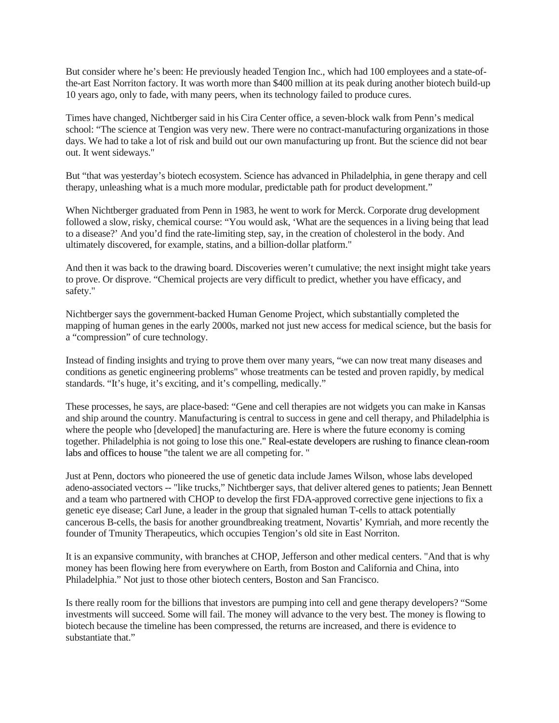But consider where he's been: He previously headed Tengion Inc., which had 100 employees and a state-ofthe-art East Norriton factory. It was worth more than \$400 million at its peak during another biotech build-up 10 years ago, only to fade, with many peers, when its technology failed to produce cures.

Times have changed, Nichtberger said in his Cira Center office, a seven-block walk from Penn's medical school: "The science at Tengion was very new. There were no contract-manufacturing organizations in those days. We had to take a lot of risk and build out our own manufacturing up front. But the science did not bear out. It went sideways."

But "that was yesterday's biotech ecosystem. Science has advanced in Philadelphia, in gene therapy and cell therapy, unleashing what is a much more modular, predictable path for product development."

When Nichtberger graduated from Penn in 1983, he went to work for Merck. Corporate drug development followed a slow, risky, chemical course: "You would ask, 'What are the sequences in a living being that lead to a disease?' And you'd find the rate-limiting step, say, in the creation of cholesterol in the body. And ultimately discovered, for example, statins, and a billion-dollar platform."

And then it was back to the drawing board. Discoveries weren't cumulative; the next insight might take years to prove. Or disprove. "Chemical projects are very difficult to predict, whether you have efficacy, and safety."

Nichtberger says the government-backed Human Genome Project, which substantially completed the mapping of human genes in the early 2000s, marked not just new access for medical science, but the basis for a "compression" of cure technology.

Instead of finding insights and trying to prove them over many years, "we can now treat many diseases and conditions as genetic engineering problems" whose treatments can be tested and proven rapidly, by medical standards. "It's huge, it's exciting, and it's compelling, medically."

These processes, he says, are place-based: "Gene and cell therapies are not widgets you can make in Kansas and ship around the country. Manufacturing is central to success in gene and cell therapy, and Philadelphia is where the people who [developed] the manufacturing are. Here is where the future economy is coming together. Philadelphia is not going to lose this one." [Real-estate developers are rushing to finance clean-room](https://www.inquirer.com/business/phillydeals/philadelphia-biotech-labs-deerfield-king-of-prussia-20200127.html)  [labs and offices to house "t](https://www.inquirer.com/business/phillydeals/philadelphia-biotech-labs-deerfield-king-of-prussia-20200127.html)he talent we are all competing for. "

Just at Penn, doctors who pioneered the use of genetic data include James Wilson, whose labs developed adeno-associated vectors -- "like trucks," Nichtberger says, that deliver altered genes to patients; Jean Bennett and a team who partnered with CHOP to develop the first FDA-approved corrective gene injections to fix a genetic eye disease; Carl June, a leader in the group that signaled human T-cells to attack potentially cancerous B-cells, the basis for another groundbreaking treatment, Novartis' Kymriah, and more recently the founder of Tmunity Therapeutics, which occupies Tengion's old site in East Norriton.

It is an expansive community, with branches at CHOP, Jefferson and other medical centers. "And that is why money has been flowing here from everywhere on Earth, from Boston and California and China, into Philadelphia." Not just to those other biotech centers, Boston and San Francisco.

Is there really room for the billions that investors are pumping into cell and gene therapy developers? "Some investments will succeed. Some will fail. The money will advance to the very best. The money is flowing to biotech because the timeline has been compressed, the returns are increased, and there is evidence to substantiate that."